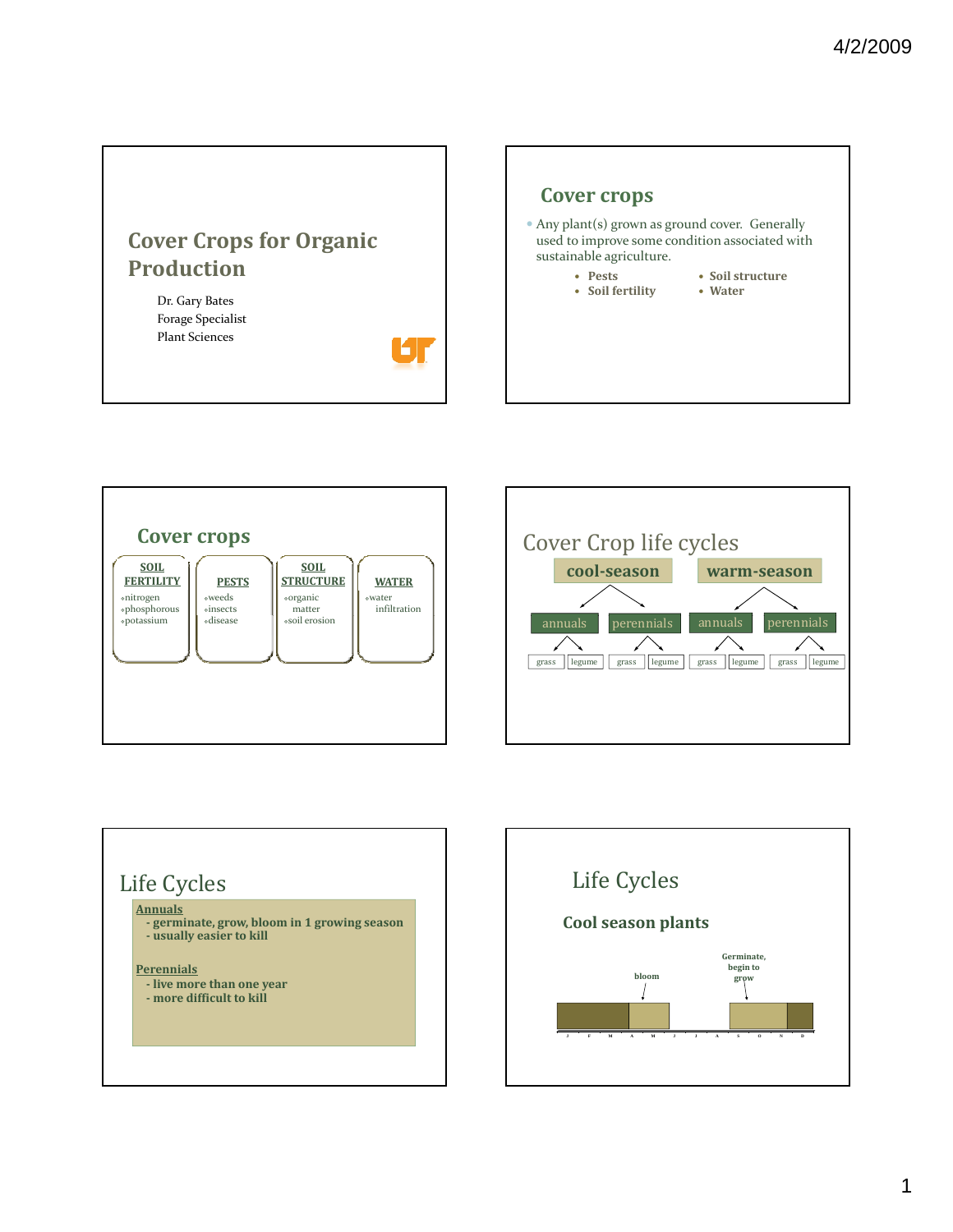## **Cover Crops for Organic Production**

61

Dr. Gary Bates Forage Specialist Plant Sciences









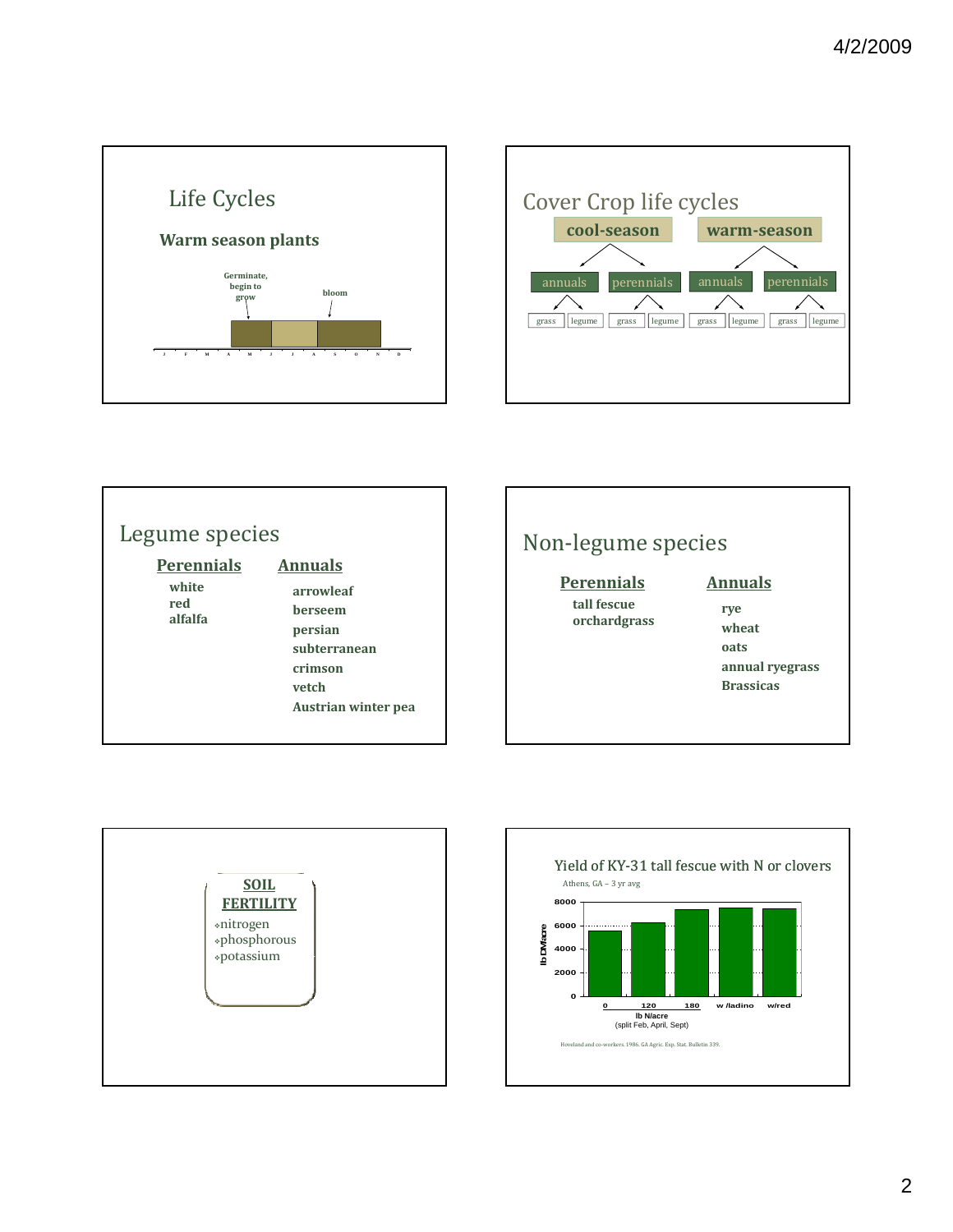





## Non‐legume species

#### **rye tall fescue Perennials**

**orchardgrass**

#### **Annuals**

**rye wheat oats annual ryegrass Brassicas**



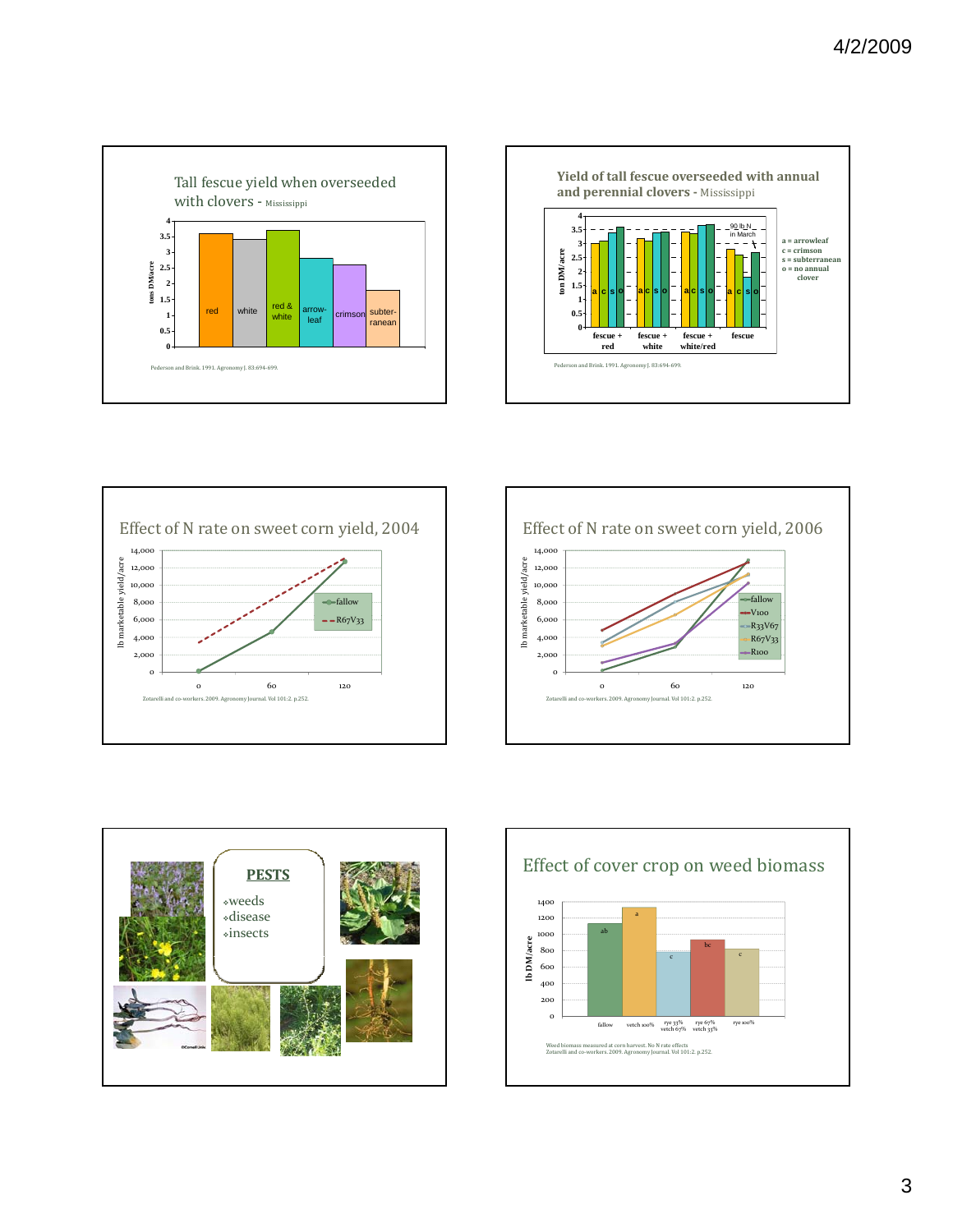









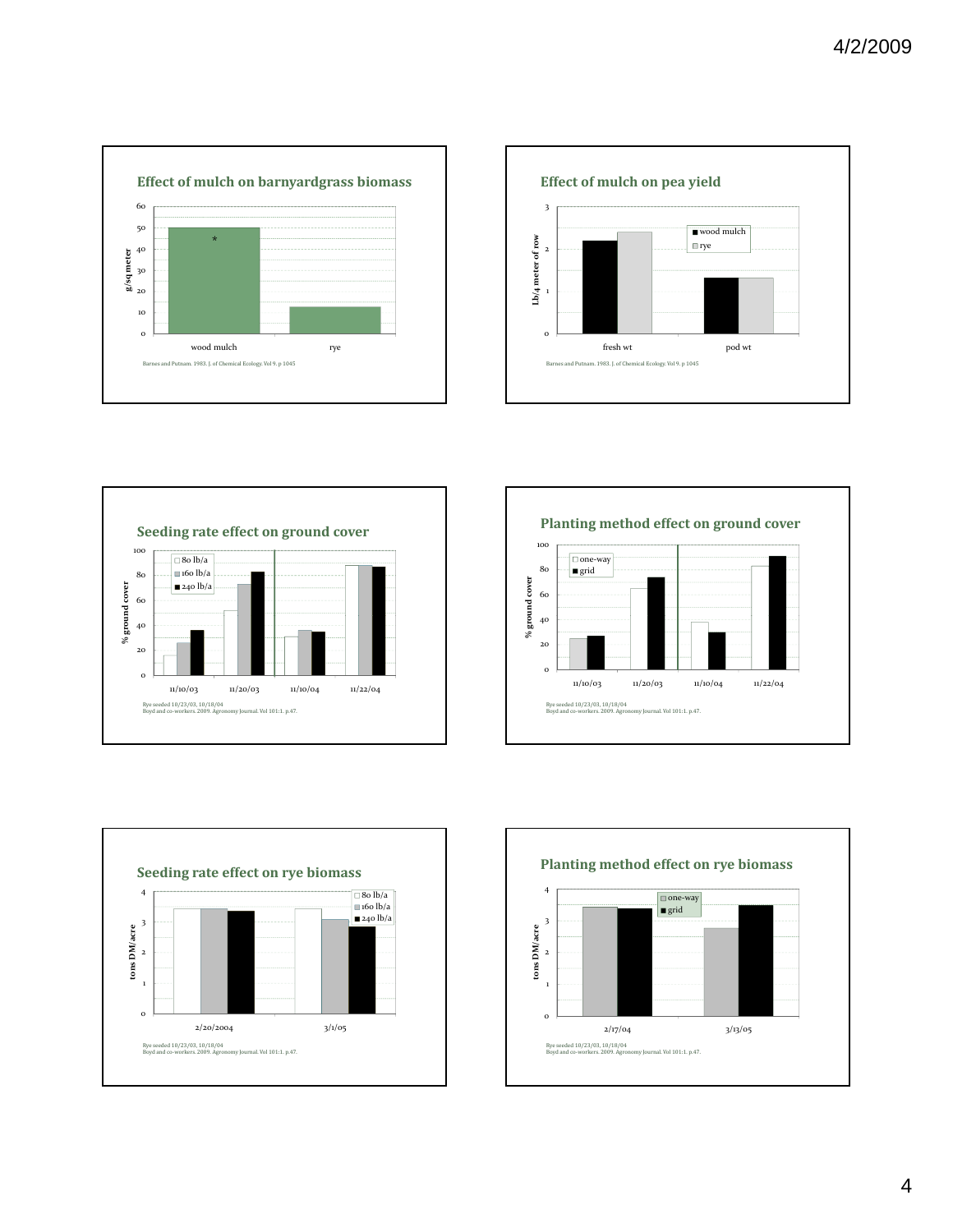









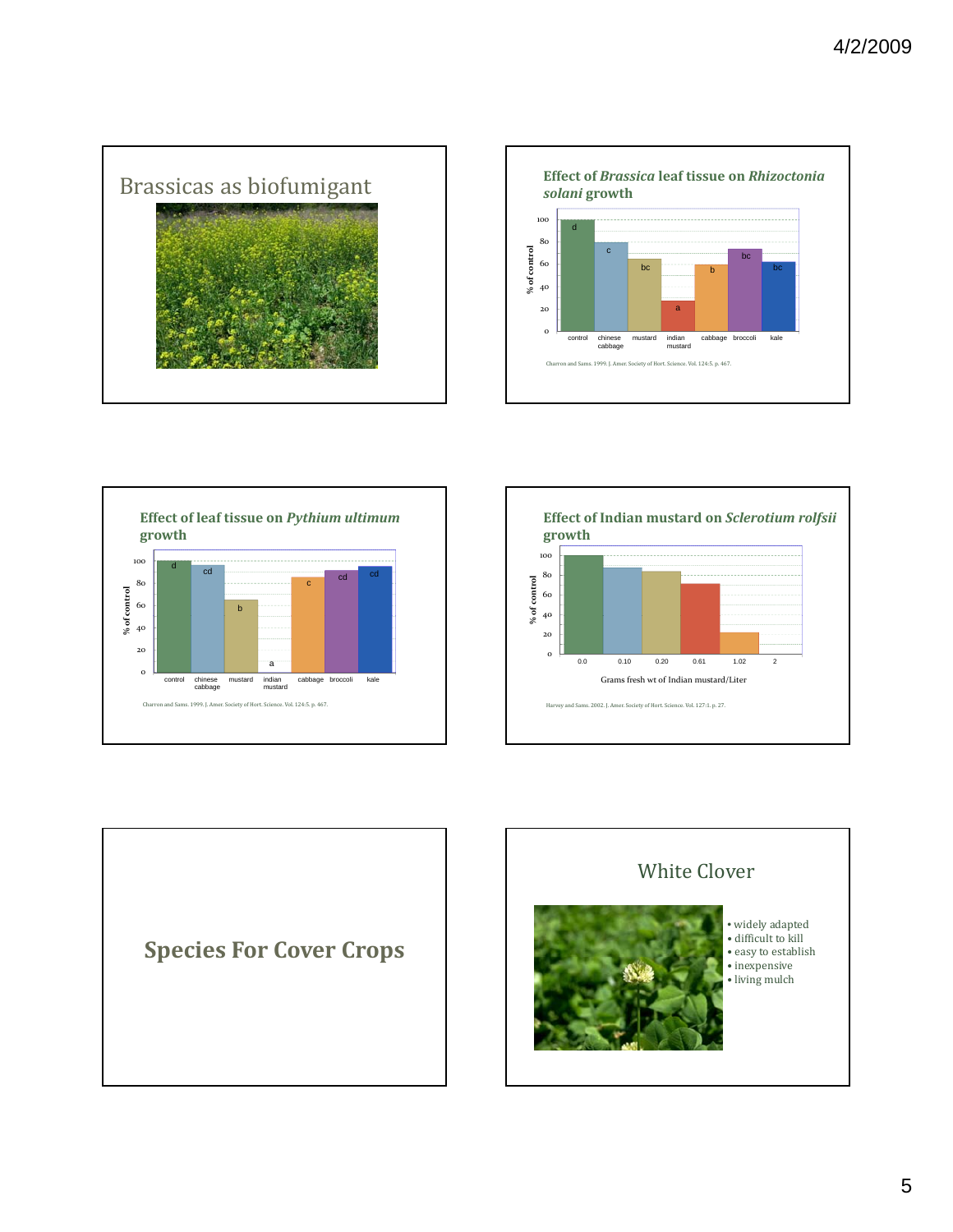









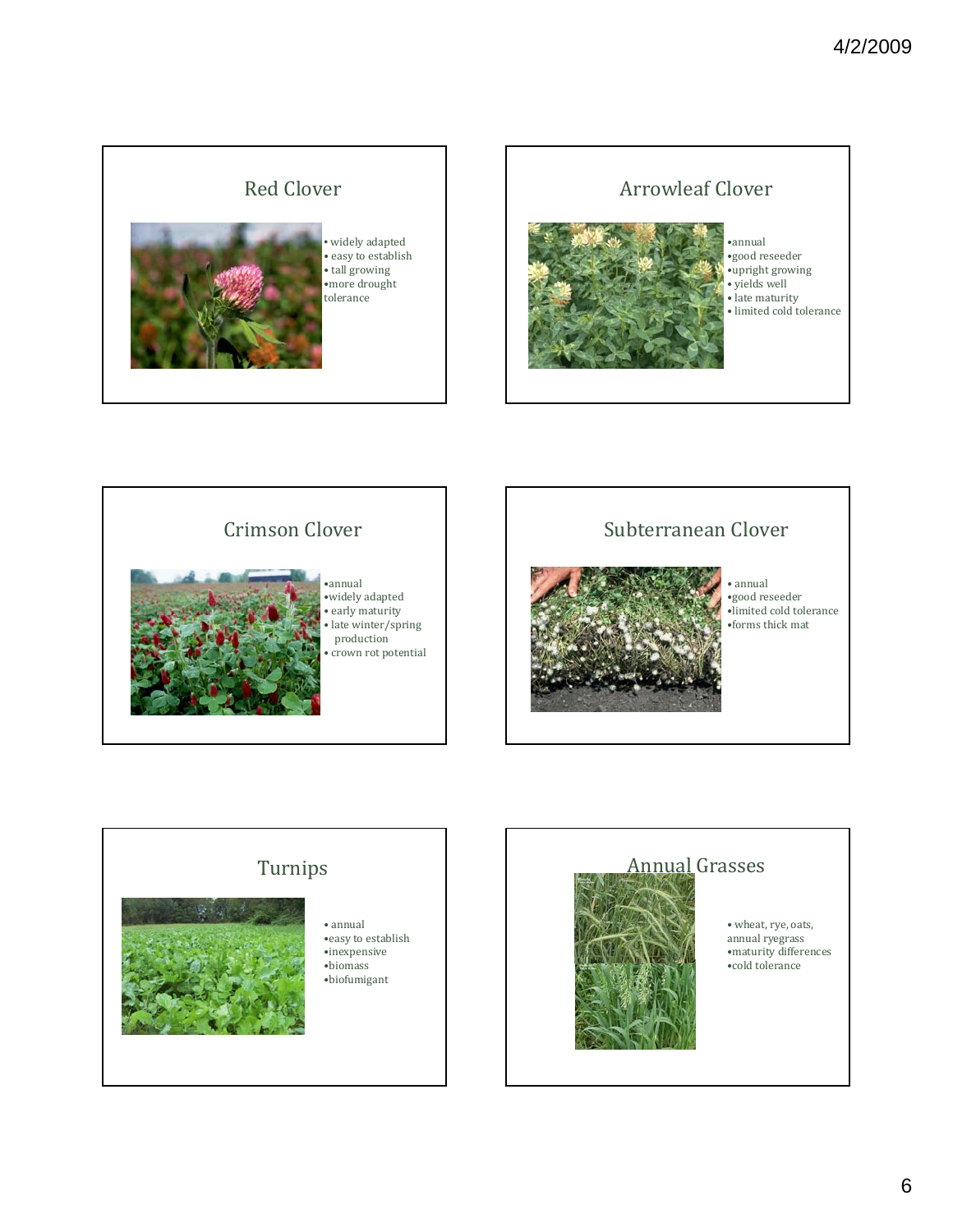### Red Clover



widely adapted • easy to establish • tall growing •more drought tolerance





•widely adapted • early maturity • late winter/spring production • crown rot potential

#### Subterranean Clover



• annual •good reseeder •limited cold tolerance •forms thick mat